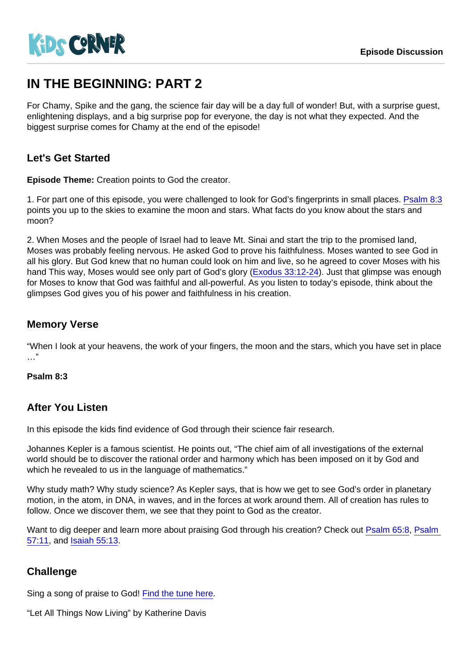# IN THE BEGINNING: PART 2

For Chamy, Spike and the gang, the science fair day will be a day full of wonder! But, with a surprise guest, enlightening displays, and a big surprise pop for everyone, the day is not what they expected. And the biggest surprise comes for Chamy at the end of the episode!

## Let's Get Started

Episode Theme: Creation points to God the creator.

1. For part one of this episode, you were challenged to look for God's fingerprints in small places. [Psalm 8:3](https://www.biblegateway.com/passage/?search=Psalm+8:3) points you up to the skies to examine the moon and stars. What facts do you know about the stars and moon?

2. When Moses and the people of Israel had to leave Mt. Sinai and start the trip to the promised land, Moses was probably feeling nervous. He asked God to prove his faithfulness. Moses wanted to see God in all his glory. But God knew that no human could look on him and live, so he agreed to cover Moses with his hand This way, Moses would see only part of God's glory ([Exodus 33:12-24](https://www.biblegateway.com/passage/?search=Exodus+33:12-24)). Just that glimpse was enough for Moses to know that God was faithful and all-powerful. As you listen to today's episode, think about the glimpses God gives you of his power and faithfulness in his creation.

### Memory Verse

"When I look at your heavens, the work of your fingers, the moon and the stars, which you have set in place …"

Psalm 8:3

### After You Listen

In this episode the kids find evidence of God through their science fair research.

Johannes Kepler is a famous scientist. He points out, "The chief aim of all investigations of the external world should be to discover the rational order and harmony which has been imposed on it by God and which he revealed to us in the language of mathematics."

Why study math? Why study science? As Kepler says, that is how we get to see God's order in planetary motion, in the atom, in DNA, in waves, and in the forces at work around them. All of creation has rules to follow. Once we discover them, we see that they point to God as the creator.

Want to dig deeper and learn more about praising God through his creation? Check out [Psalm 65:8](https://www.biblegateway.com/passage/?search=Psalm+65:8), Psalm [57:11,](https://www.biblegateway.com/passage/?search=Psalm+57:11) and [Isaiah 55:13.](https://www.biblegateway.com/passage/?search=Isaiah+55:13)

### **Challenge**

Sing a song of praise to God! [Find the tune here.](http://www.hymnary.org/media/fetch/155208)

"Let All Things Now Living" by Katherine Davis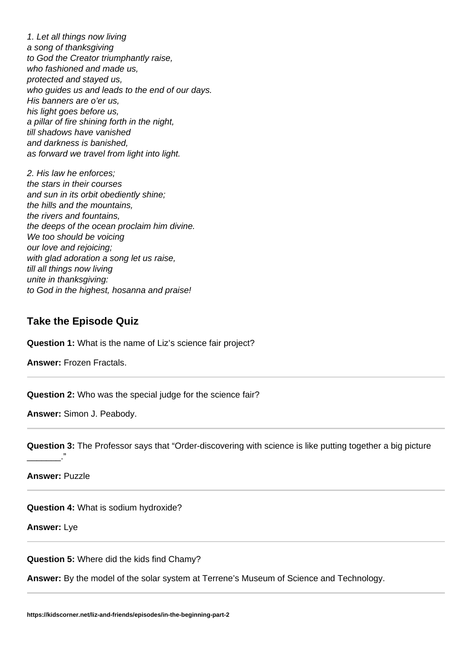1. Let all things now living a song of thanksgiving to God the Creator triumphantly raise, who fashioned and made us, protected and stayed us, who guides us and leads to the end of our days. His banners are o'er us, his light goes before us, a pillar of fire shining forth in the night, till shadows have vanished and darkness is banished, as forward we travel from light into light.

2. His law he enforces; the stars in their courses and sun in its orbit obediently shine; the hills and the mountains, the rivers and fountains, the deeps of the ocean proclaim him divine. We too should be voicing our love and rejoicing; with glad adoration a song let us raise, till all things now living unite in thanksgiving: to God in the highest, hosanna and praise!

### **Take the Episode Quiz**

**Question 1:** What is the name of Liz's science fair project?

**Answer:** Frozen Fractals.

**Question 2:** Who was the special judge for the science fair?

**Answer:** Simon J. Peabody.

**Question 3:** The Professor says that "Order-discovering with science is like putting together a big picture  $\overline{\phantom{a}}$ 

**Answer:** Puzzle

**Question 4:** What is sodium hydroxide?

**Answer:** Lye

**Question 5:** Where did the kids find Chamy?

**Answer:** By the model of the solar system at Terrene's Museum of Science and Technology.